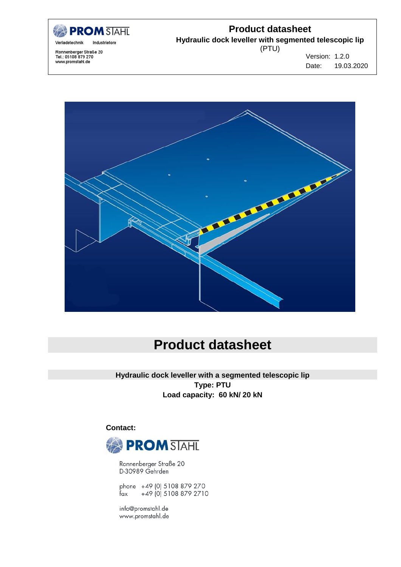

#### **Product datasheet**

**Hydraulic dock leveller with segmented telescopic lip**

Ronnenberger Straße 20<br>Tel.: 05108 879 270<br>www.promstahl.de

(PTU)

Version: 1.2.0 Date: 19.03.2020



# **Product datasheet**

**Hydraulic dock leveller with a segmented telescopic lip Type: PTU Load capacity: 60 kN/ 20 kN**

 **Contact:**



Ronnenberger Straße 20 D-30989 Gehrden

phone +49 (0) 5108 879 270 +49 (0) 5108 879 2710 fax

info@promstahl.de www.promstahl.de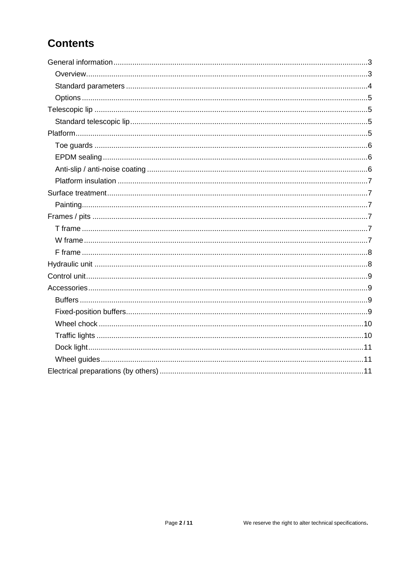# **Contents**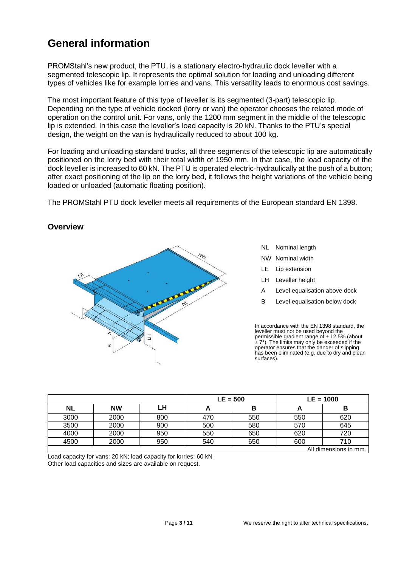## <span id="page-2-0"></span>**General information**

PROMStahl's new product, the PTU, is a stationary electro-hydraulic dock leveller with a segmented telescopic lip. It represents the optimal solution for loading and unloading different types of vehicles like for example lorries and vans. This versatility leads to enormous cost savings.

The most important feature of this type of leveller is its segmented (3-part) telescopic lip. Depending on the type of vehicle docked (lorry or van) the operator chooses the related mode of operation on the control unit. For vans, only the 1200 mm segment in the middle of the telescopic lip is extended. In this case the leveller's load capacity is 20 kN. Thanks to the PTU's special design, the weight on the van is hydraulically reduced to about 100 kg.

For loading and unloading standard trucks, all three segments of the telescopic lip are automatically positioned on the lorry bed with their total width of 1950 mm. In that case, the load capacity of the dock leveller is increased to 60 kN. The PTU is operated electric-hydraulically at the push of a button; after exact positioning of the lip on the lorry bed, it follows the height variations of the vehicle being loaded or unloaded (automatic floating position).

The PROMStahl PTU dock leveller meets all requirements of the European standard EN 1398.

#### <span id="page-2-1"></span>**Overview**



- NL Nominal length
- NW Nominal width
- LE Lip extension
- LH Leveller height
- A Level equalisation above dock
- B Level equalisation below dock

In accordance with the EN 1398 standard, the leveller must not be used beyond the permissible gradient range of  $\pm$  12.5% (about  $± 7^\circ$ ). The limits may only be exceeded if the operator ensures that the danger of slipping has been eliminated (e.g. due to dry and clean surfaces).

|      |           |     | $LE = 500$ |     | $LE = 1000$ |                       |
|------|-----------|-----|------------|-----|-------------|-----------------------|
| NL   | <b>NW</b> | LH  |            | в   | n           | В                     |
| 3000 | 2000      | 800 | 470        | 550 | 550         | 620                   |
| 3500 | 2000      | 900 | 500        | 580 | 570         | 645                   |
| 4000 | 2000      | 950 | 550        | 650 | 620         | 720                   |
| 4500 | 2000      | 950 | 540        | 650 | 600         | 710                   |
|      |           |     |            |     |             | All dimensions in mm. |

Load capacity for vans: 20 kN; load capacity for lorries: 60 kN Other load capacities and sizes are available on request.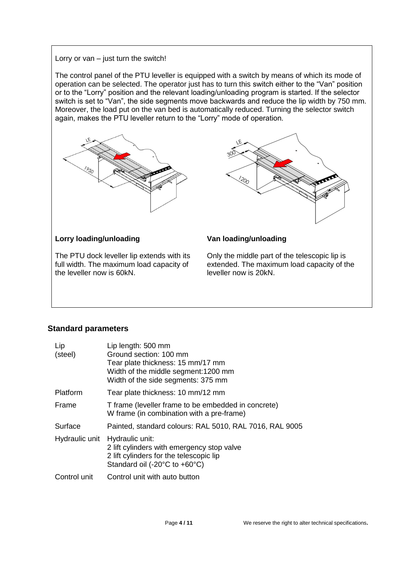#### Lorry or  $van - just turn$  the switch!

The control panel of the PTU leveller is equipped with a switch by means of which its mode of operation can be selected. The operator just has to turn this switch either to the "Van" position or to the "Lorry" position and the relevant loading/unloading program is started. If the selector switch is set to "Van", the side segments move backwards and reduce the lip width by 750 mm. Moreover, the load put on the van bed is automatically reduced. Turning the selector switch again, makes the PTU leveller return to the "Lorry" mode of operation.





#### **Lorry loading/unloading**

The PTU dock leveller lip extends with its full width. The maximum load capacity of the leveller now is 60kN.

#### **Van loading/unloading**

Only the middle part of the telescopic lip is extended. The maximum load capacity of the leveller now is 20kN.

#### <span id="page-3-0"></span>**Standard parameters**

| Lip            | Lip length: 500 mm                                                                                                                        |
|----------------|-------------------------------------------------------------------------------------------------------------------------------------------|
| (steel)        | Ground section: 100 mm                                                                                                                    |
|                | Tear plate thickness: 15 mm/17 mm<br>Width of the middle segment: 1200 mm<br>Width of the side segments: 375 mm                           |
| Platform       | Tear plate thickness: 10 mm/12 mm                                                                                                         |
| Frame          | T frame (leveller frame to be embedded in concrete)<br>W frame (in combination with a pre-frame)                                          |
| Surface        | Painted, standard colours: RAL 5010, RAL 7016, RAL 9005                                                                                   |
| Hydraulic unit | Hydraulic unit:<br>2 lift cylinders with emergency stop valve<br>2 lift cylinders for the telescopic lip<br>Standard oil (-20°C to +60°C) |
| Control unit   | Control unit with auto button                                                                                                             |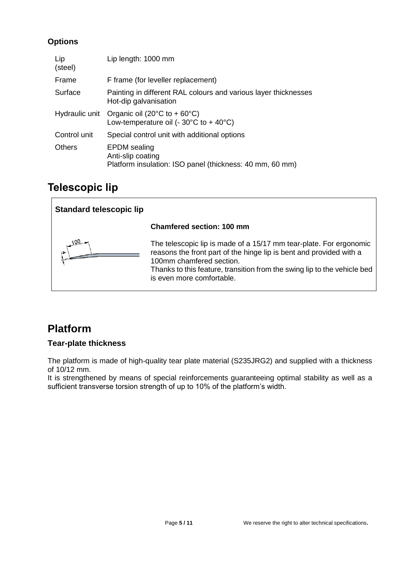#### <span id="page-4-0"></span>**Options**

| Lip<br>(steel) | Lip length: 1000 mm                                                                                            |
|----------------|----------------------------------------------------------------------------------------------------------------|
| Frame          | F frame (for leveller replacement)                                                                             |
| Surface        | Painting in different RAL colours and various layer thicknesses<br>Hot-dip galvanisation                       |
| Hydraulic unit | Organic oil (20 $\degree$ C to + 60 $\degree$ C)<br>Low-temperature oil (- $30^{\circ}$ C to + $40^{\circ}$ C) |
| Control unit   | Special control unit with additional options                                                                   |
| <b>Others</b>  | <b>EPDM</b> sealing<br>Anti-slip coating<br>Platform insulation: ISO panel (thickness: 40 mm, 60 mm)           |

### <span id="page-4-1"></span>**Telescopic lip**

<span id="page-4-2"></span>

### <span id="page-4-3"></span>**Platform**

#### **Tear-plate thickness**

The platform is made of high-quality tear plate material (S235JRG2) and supplied with a thickness of 10/12 mm.

It is strengthened by means of special reinforcements guaranteeing optimal stability as well as a sufficient transverse torsion strength of up to 10% of the platform's width.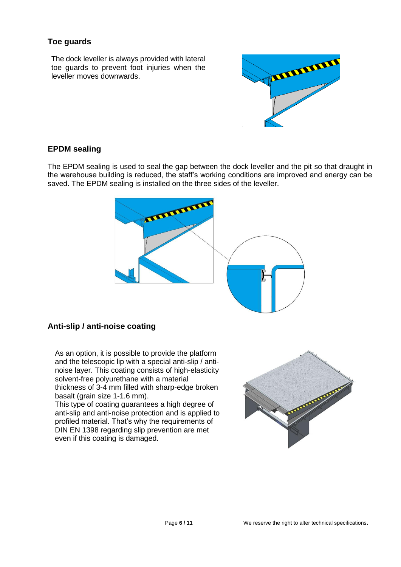#### <span id="page-5-0"></span>**Toe guards**

The dock leveller is always provided with lateral toe guards to prevent foot injuries when the leveller moves downwards.



#### <span id="page-5-1"></span>**EPDM sealing**

The EPDM sealing is used to seal the gap between the dock leveller and the pit so that draught in the warehouse building is reduced, the staff's working conditions are improved and energy can be saved. The EPDM sealing is installed on the three sides of the leveller.



#### <span id="page-5-2"></span>**Anti-slip / anti-noise coating**

As an option, it is possible to provide the platform and the telescopic lip with a special anti-slip / antinoise layer. This coating consists of high-elasticity solvent-free polyurethane with a material thickness of 3-4 mm filled with sharp-edge broken basalt (grain size 1-1.6 mm).

This type of coating guarantees a high degree of anti-slip and anti-noise protection and is applied to profiled material. That's why the requirements of DIN EN 1398 regarding slip prevention are met even if this coating is damaged.

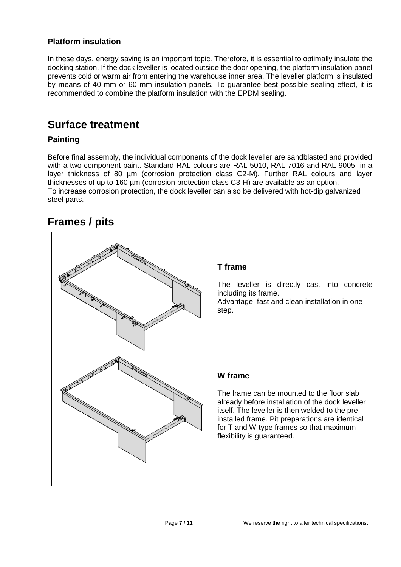#### <span id="page-6-0"></span>**Platform insulation**

In these days, energy saving is an important topic. Therefore, it is essential to optimally insulate the docking station. If the dock leveller is located outside the door opening, the platform insulation panel prevents cold or warm air from entering the warehouse inner area. The leveller platform is insulated by means of 40 mm or 60 mm insulation panels. To guarantee best possible sealing effect, it is recommended to combine the platform insulation with the EPDM sealing.

### <span id="page-6-1"></span>**Surface treatment**

#### <span id="page-6-2"></span>**Painting**

Before final assembly, the individual components of the dock leveller are sandblasted and provided with a two-component paint. Standard RAL colours are RAL 5010, RAL 7016 and RAL 9005 in a layer thickness of 80 µm (corrosion protection class C2-M). Further RAL colours and layer thicknesses of up to 160 µm (corrosion protection class C3-H) are available as an option. To increase corrosion protection, the dock leveller can also be delivered with hot-dip galvanized steel parts.

### <span id="page-6-3"></span>**Frames / pits**

<span id="page-6-5"></span><span id="page-6-4"></span>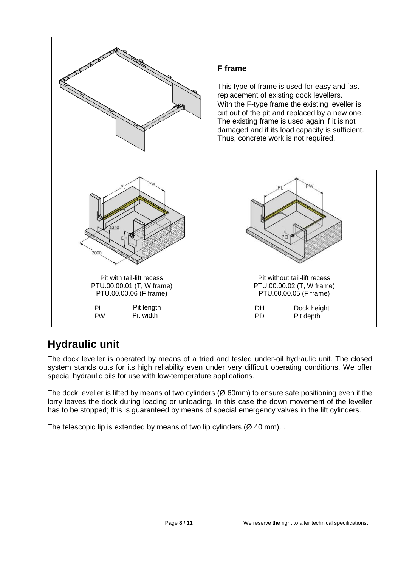<span id="page-7-0"></span>

## <span id="page-7-1"></span>**Hydraulic unit**

The dock leveller is operated by means of a tried and tested under-oil hydraulic unit. The closed system stands outs for its high reliability even under very difficult operating conditions. We offer special hydraulic oils for use with low-temperature applications.

The dock leveller is lifted by means of two cylinders (Ø 60mm) to ensure safe positioning even if the lorry leaves the dock during loading or unloading. In this case the down movement of the leveller has to be stopped; this is guaranteed by means of special emergency valves in the lift cylinders.

The telescopic lip is extended by means of two lip cylinders ( $\varnothing$  40 mm).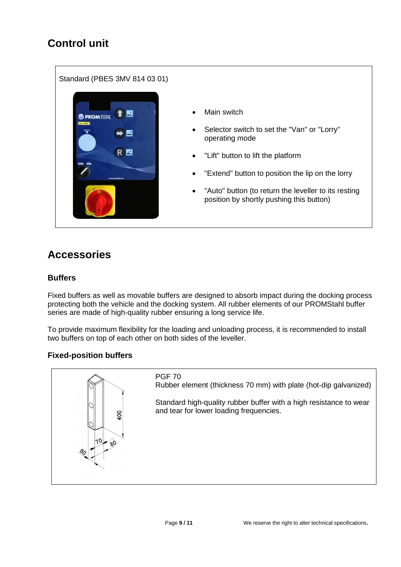# <span id="page-8-0"></span>Standard (PBES 3MV 814 03 01) Main switch 台目 **PROMSTAHL**  Selector switch to set the "Van" or "Lorry" operating mode RE "Lift" button to lift the platform "Extend" button to position the lip on the lorry "Auto" button (to return the leveller to its resting position by shortly pushing this button)

# <span id="page-8-1"></span>**Accessories**

#### <span id="page-8-2"></span>**Buffers**

Fixed buffers as well as movable buffers are designed to absorb impact during the docking process protecting both the vehicle and the docking system. All rubber elements of our PROMStahl buffer series are made of high-quality rubber ensuring a long service life.

To provide maximum flexibility for the loading and unloading process, it is recommended to install two buffers on top of each other on both sides of the leveller.

#### <span id="page-8-3"></span>**Fixed-position buffers**

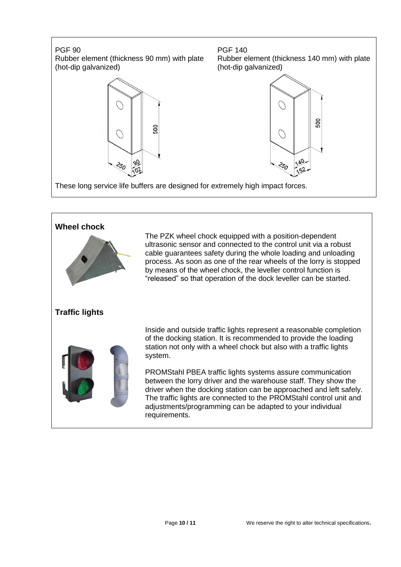# PGF 90 Rubber element (thickness 90 mm) with plate (hot-dip galvanized) PGF 140





 $\bigcirc$ 

250

500

 $Q_{A}$ 

52

These long service life buffers are designed for extremely high impact forces.

<span id="page-9-1"></span><span id="page-9-0"></span>